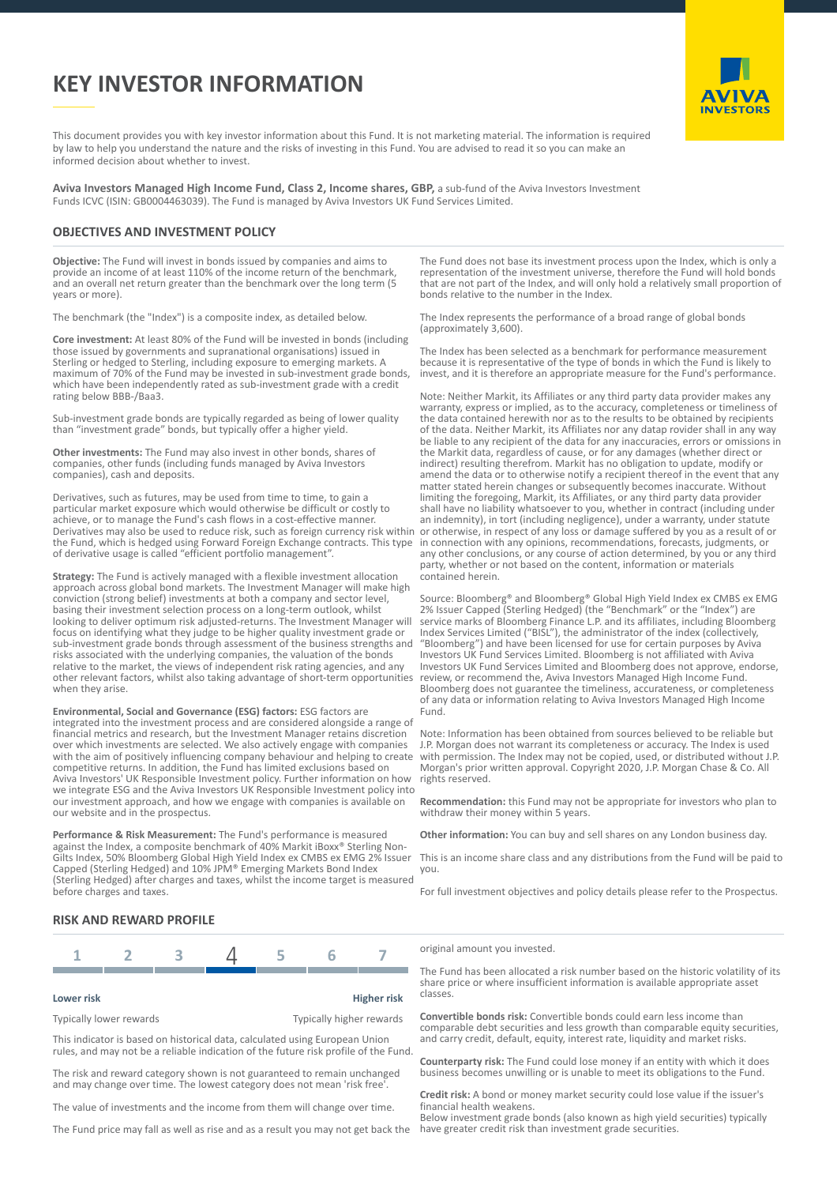# **KEY INVESTOR INFORMATION**



This document provides you with key investor information about this Fund. It is not marketing material. The information is required by law to help you understand the nature and the risks of investing in this Fund. You are advised to read it so you can make an informed decision about whether to invest.

**Aviva Investors Managed High Income Fund, Class 2, Income shares, GBP,** a sub-fund of the Aviva Investors Investment Funds ICVC (ISIN: GB0004463039). The Fund is managed by Aviva Investors UK Fund Services Limited.

#### **OBJECTIVES AND INVESTMENT POLICY**

**Objective:** The Fund will invest in bonds issued by companies and aims to provide an income of at least 110% of the income return of the benchmark, and an overall net return greater than the benchmark over the long term (5 years or more).

The benchmark (the "Index") is a composite index, as detailed below.

**Core investment:** At least 80% of the Fund will be invested in bonds (including those issued by governments and supranational organisations) issued in Sterling or hedged to Sterling, including exposure to emerging markets. A maximum of 70% of the Fund may be invested in sub-investment grade bonds, which have been independently rated as sub-investment grade with a credit rating below BBB-/Baa3.

Sub-investment grade bonds are typically regarded as being of lower quality than "investment grade" bonds, but typically offer a higher yield.

**Other investments:** The Fund may also invest in other bonds, shares of companies, other funds (including funds managed by Aviva Investors companies), cash and deposits.

Derivatives, such as futures, may be used from time to time, to gain a particular market exposure which would otherwise be difficult or costly to achieve, or to manage the Fund's cash flows in a cost-effective manner. Derivatives may also be used to reduce risk, such as foreign currency risk within the Fund, which is hedged using Forward Foreign Exchange contracts. This type of derivative usage is called "efficient portfolio management".

**Strategy:** The Fund is actively managed with a flexible investment allocation approach across global bond markets. The Investment Manager will make high conviction (strong belief) investments at both a company and sector level, basing their investment selection process on a long-term outlook, whilst looking to deliver optimum risk adjusted-returns. The Investment Manager will focus on identifying what they judge to be higher quality investment grade or sub-investment grade bonds through assessment of the business strengths and risks associated with the underlying companies, the valuation of the bonds relative to the market, the views of independent risk rating agencies, and any other relevant factors, whilst also taking advantage of short-term opportunities when they arise.

**Environmental, Social and Governance (ESG) factors:** ESG factors are integrated into the investment process and are considered alongside a range of financial metrics and research, but the Investment Manager retains discretion over which investments are selected. We also actively engage with companies with the aim of positively influencing company behaviour and helping to create competitive returns. In addition, the Fund has limited exclusions based on Aviva Investors' UK Responsible Investment policy. Further information on how we integrate ESG and the Aviva Investors UK Responsible Investment policy into our investment approach, and how we engage with companies is available on our website and in the prospectus.

**Performance & Risk Measurement:** The Fund's performance is measured against the Index, a composite benchmark of 40% Markit iBoxx® Sterling Non-Gilts Index, 50% Bloomberg Global High Yield Index ex CMBS ex EMG 2% Issuer Capped (Sterling Hedged) and 10% JPM® Emerging Markets Bond Index (Sterling Hedged) after charges and taxes, whilst the income target is measured before charges and taxes.

#### The Fund does not base its investment process upon the Index, which is only a representation of the investment universe, therefore the Fund will hold bonds that are not part of the Index, and will only hold a relatively small proportion of bonds relative to the number in the Index.

The Index represents the performance of a broad range of global bonds (approximately 3,600).

The Index has been selected as a benchmark for performance measurement because it is representative of the type of bonds in which the Fund is likely to invest, and it is therefore an appropriate measure for the Fund's performance.

Note: Neither Markit, its Affiliates or any third party data provider makes any warranty, express or implied, as to the accuracy, completeness or timeliness of the data contained herewith nor as to the results to be obtained by recipients of the data. Neither Markit, its Affiliates nor any datap rovider shall in any way be liable to any recipient of the data for any inaccuracies, errors or omissions in the Markit data, regardless of cause, or for any damages (whether direct or indirect) resulting therefrom. Markit has no obligation to update, modify or amend the data or to otherwise notify a recipient thereof in the event that any matter stated herein changes or subsequently becomes inaccurate. Without limiting the foregoing, Markit, its Affiliates, or any third party data provider shall have no liability whatsoever to you, whether in contract (including under an indemnity), in tort (including negligence), under a warranty, under statute or otherwise, in respect of any loss or damage suffered by you as a result of or in connection with any opinions, recommendations, forecasts, judgments, or any other conclusions, or any course of action determined, by you or any third party, whether or not based on the content, information or materials contained herein.

Source: Bloomberg® and Bloomberg® Global High Yield Index ex CMBS ex EMG 2% Issuer Capped (Sterling Hedged) (the "Benchmark" or the "Index") are service marks of Bloomberg Finance L.P. and its affiliates, including Bloomberg Index Services Limited ("BISL"), the administrator of the index (collectively, "Bloomberg") and have been licensed for use for certain purposes by Aviva Investors UK Fund Services Limited. Bloomberg is not affiliated with Aviva Investors UK Fund Services Limited and Bloomberg does not approve, endorse, review, or recommend the, Aviva Investors Managed High Income Fund. Bloomberg does not guarantee the timeliness, accurateness, or completeness of any data or information relating to Aviva Investors Managed High Income Fund.

Note: Information has been obtained from sources believed to be reliable but J.P. Morgan does not warrant its completeness or accuracy. The Index is used with permission. The Index may not be copied, used, or distributed without J.P. Morgan's prior written approval. Copyright 2020, J.P. Morgan Chase & Co. All rights reserved.

**Recommendation:** this Fund may not be appropriate for investors who plan to withdraw their money within 5 years.

**Other information:** You can buy and sell shares on any London business day.

This is an income share class and any distributions from the Fund will be paid to you.

For full investment objectives and policy details please refer to the Prospectus.

### **RISK AND REWARD PROFILE**



#### **Lower risk Higher risk**

Typically lower rewards Typically higher rewards

This indicator is based on historical data, calculated using European Union rules, and may not be a reliable indication of the future risk profile of the Fund.

The risk and reward category shown is not guaranteed to remain unchanged and may change over time. The lowest category does not mean 'risk free'

The value of investments and the income from them will change over time.

The Fund price may fall as well as rise and as a result you may not get back the

original amount you invested.

The Fund has been allocated a risk number based on the historic volatility of its share price or where insufficient information is available appropriate asset classes.

**Convertible bonds risk:** Convertible bonds could earn less income than comparable debt securities and less growth than comparable equity securities, and carry credit, default, equity, interest rate, liquidity and market risks.

**Counterparty risk:** The Fund could lose money if an entity with which it does business becomes unwilling or is unable to meet its obligations to the Fund.

**Credit risk:** A bond or money market security could lose value if the issuer's financial health weakens.

Below investment grade bonds (also known as high yield securities) typically have greater credit risk than investment grade securities.